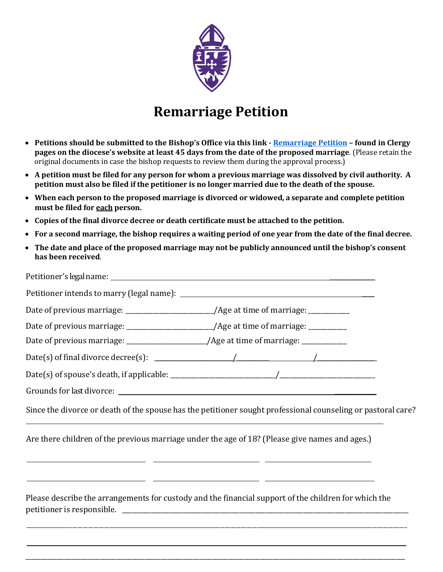

## **Remarriage Petition**

- **Petitions should be submitted to the Bishop's Office via this link - Remarriage Petition – found in Clergy pages on the diocese's website at least 45 days from the date of the proposed marriage**. (Please retain the original documents in case the bishop requests to review them during the approval process.)
- **A petition must be filed for any person for whom a previous marriage was dissolved by civil authority. A petition must also be filed if the petitioner is no longer married due to the death of the spouse.**
- **When each person to the proposed marriage is divorced or widowed, a separate and complete petition must be filed for each person.**
- **Copies of the final divorce decree or death certificate must be attached to the petition.**
- **For a second marriage, the bishop requires a waiting period of one year from the date of the final decree.**
- **The date and place of the proposed marriage may not be publicly announced until the bishop's consent has been received**.

|                                                                                                                                                                                                                                                                                               | Date of previous marriage: ________________________/Age at time of marriage: __________ |  |  |
|-----------------------------------------------------------------------------------------------------------------------------------------------------------------------------------------------------------------------------------------------------------------------------------------------|-----------------------------------------------------------------------------------------|--|--|
|                                                                                                                                                                                                                                                                                               | Date of previous marriage: ______________________/Age at time of marriage: _________    |  |  |
|                                                                                                                                                                                                                                                                                               | Date of previous marriage: _____________________/Age at time of marriage: ___________   |  |  |
| Date(s) of final divorce decree(s): $\frac{1}{2}$ / $\frac{1}{2}$ / $\frac{1}{2}$ / $\frac{1}{2}$ / $\frac{1}{2}$ / $\frac{1}{2}$ / $\frac{1}{2}$ / $\frac{1}{2}$ / $\frac{1}{2}$ / $\frac{1}{2}$ / $\frac{1}{2}$ / $\frac{1}{2}$ / $\frac{1}{2}$ / $\frac{1}{2}$ / $\frac{1}{2}$ / $\frac{1$ |                                                                                         |  |  |
|                                                                                                                                                                                                                                                                                               |                                                                                         |  |  |
|                                                                                                                                                                                                                                                                                               |                                                                                         |  |  |
| Since the divorce or death of the spouse has the petitioner sought professional counseling or pastoral care?<br>,我们也不会有什么。""我们的人,我们也不会有什么?""我们的人,我们也不会有什么?""我们的人,我们也不会有什么?""我们的人,我们也不会有什么?""我们的人                                                                                              |                                                                                         |  |  |
| Are there children of the previous marriage under the age of 18? (Please give names and ages.)<br><u> 1990 - Jan James Alexandro (h. 1980).</u>                                                                                                                                               |                                                                                         |  |  |
| <u> 1999 - Andrea San Andrea Andrea Andrea Andrea Andrea Andrea Andrea Andrea Andrea Andrea Andrea Andrea Andrea </u><br>Please describe the arrangements for custody and the financial support of the children for which the                                                                 |                                                                                         |  |  |
|                                                                                                                                                                                                                                                                                               |                                                                                         |  |  |

\_\_\_\_\_\_\_\_\_\_\_\_\_\_\_\_\_\_\_\_\_\_\_\_\_\_\_\_\_\_\_\_\_\_\_\_\_\_\_\_\_\_\_\_\_\_\_\_\_\_\_\_\_\_\_\_\_\_\_\_\_\_\_\_\_\_\_\_\_\_\_\_\_\_\_\_\_\_\_\_\_\_\_\_\_\_\_\_\_\_\_\_\_\_\_\_\_\_\_\_\_\_\_\_\_\_\_\_\_\_\_\_\_\_\_\_\_\_